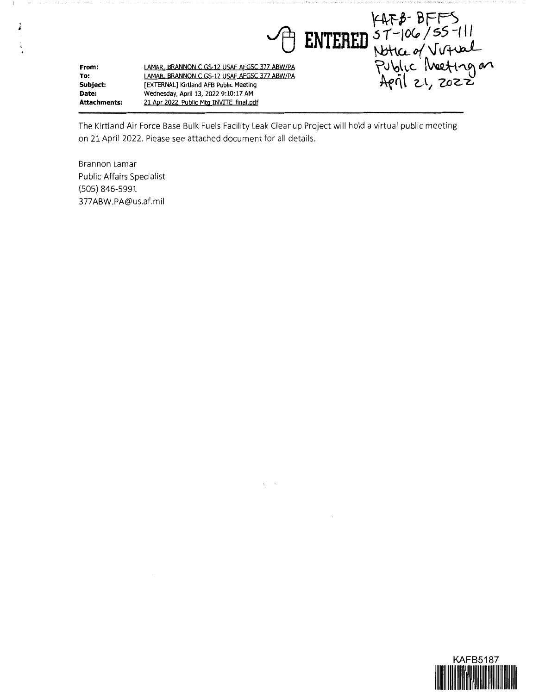ENTERED ST-106/55-111<br>ENTERED ST-106/55-111<br>Public Meeting on<br>April 21, 2022 **LAMAR BRANNON C GS-12 USAF AFGSC 377 ABW/PA From: LAMAR. BRANNON C GS-12 USAF AFGSC 377 ABW/PA To: Subject: [EXTERNAL] Kirtland AFB Public Meeting Date: Wednesday, April 13, 2022 9:10:17 AM Attachments: 21 Apr 2022 Public Mtg INVITE final.pdf** 

The Kirtland Air Force Base Bulk Fuels Facility Leak Cleanup Project will hold a virtual public meeting on 21 April 2022. Please see attached document for all details.

 $\S^+$ 

Brannon Lamar Public Affairs Specialist (505} 846-5991 377 ABW.PA@us.af.mil

*I*  '

-1